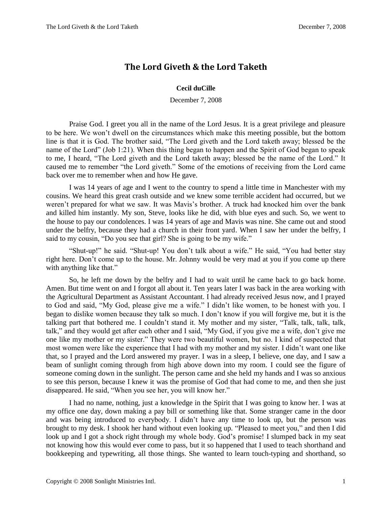## **The Lord Giveth & the Lord Taketh**

## **Cecil duCille**

December 7, 2008

Praise God. I greet you all in the name of the Lord Jesus. It is a great privilege and pleasure to be here. We won't dwell on the circumstances which make this meeting possible, but the bottom line is that it is God. The brother said, "The Lord giveth and the Lord taketh away; blessed be the name of the Lord" (Job 1:21). When this thing began to happen and the Spirit of God began to speak to me, I heard, "The Lord giveth and the Lord taketh away; blessed be the name of the Lord." It caused me to remember "the Lord giveth." Some of the emotions of receiving from the Lord came back over me to remember when and how He gave.

I was 14 years of age and I went to the country to spend a little time in Manchester with my cousins. We heard this great crash outside and we knew some terrible accident had occurred, but we weren't prepared for what we saw. It was Mavis's brother. A truck had knocked him over the bank and killed him instantly. My son, Steve, looks like he did, with blue eyes and such. So, we went to the house to pay our condolences. I was 14 years of age and Mavis was nine. She came out and stood under the belfry, because they had a church in their front yard. When I saw her under the belfry, I said to my cousin, "Do you see that girl? She is going to be my wife."

"Shut-up!" he said. "Shut-up! You don't talk about a wife." He said, "You had better stay right here. Don't come up to the house. Mr. Johnny would be very mad at you if you come up there with anything like that."

So, he left me down by the belfry and I had to wait until he came back to go back home. Amen. But time went on and I forgot all about it. Ten years later I was back in the area working with the Agricultural Department as Assistant Accountant. I had already received Jesus now, and I prayed to God and said, "My God, please give me a wife." I didn't like women, to be honest with you. I began to dislike women because they talk so much. I don't know if you will forgive me, but it is the talking part that bothered me. I couldn't stand it. My mother and my sister, "Talk, talk, talk, talk, talk," and they would get after each other and I said, "My God, if you give me a wife, don't give me one like my mother or my sister." They were two beautiful women, but no. I kind of suspected that most women were like the experience that I had with my mother and my sister. I didn't want one like that, so I prayed and the Lord answered my prayer. I was in a sleep, I believe, one day, and I saw a beam of sunlight coming through from high above down into my room. I could see the figure of someone coming down in the sunlight. The person came and she held my hands and I was so anxious to see this person, because I knew it was the promise of God that had come to me, and then she just disappeared. He said, "When you see her, you will know her."

I had no name, nothing, just a knowledge in the Spirit that I was going to know her. I was at my office one day, down making a pay bill or something like that. Some stranger came in the door and was being introduced to everybody. I didn't have any time to look up, but the person was brought to my desk. I shook her hand without even looking up. "Pleased to meet you," and then I did look up and I got a shock right through my whole body. God's promise! I slumped back in my seat not knowing how this would ever come to pass, but it so happened that I used to teach shorthand and bookkeeping and typewriting, all those things. She wanted to learn touch-typing and shorthand, so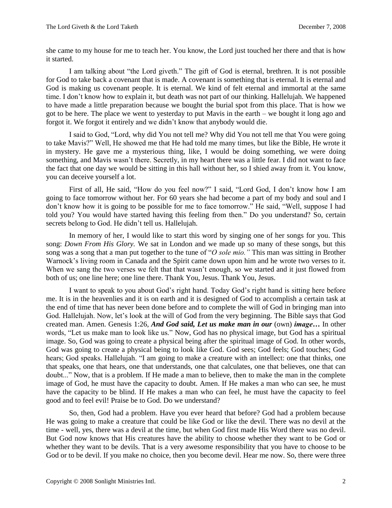she came to my house for me to teach her. You know, the Lord just touched her there and that is how it started.

I am talking about "the Lord giveth." The gift of God is eternal, brethren. It is not possible for God to take back a covenant that is made. A covenant is something that is eternal. It is eternal and God is making us covenant people. It is eternal. We kind of felt eternal and immortal at the same time. I don't know how to explain it, but death was not part of our thinking. Hallelujah. We happened to have made a little preparation because we bought the burial spot from this place. That is how we got to be here. The place we went to yesterday to put Mavis in the earth – we bought it long ago and forgot it. We forgot it entirely and we didn't know that anybody would die.

I said to God, "Lord, why did You not tell me? Why did You not tell me that You were going to take Mavis?" Well, He showed me that He had told me many times, but like the Bible, He wrote it in mystery. He gave me a mysterious thing, like, I would be doing something, we were doing something, and Mavis wasn't there. Secretly, in my heart there was a little fear. I did not want to face the fact that one day we would be sitting in this hall without her, so I shied away from it. You know, you can deceive yourself a lot.

First of all, He said, "How do you feel now?" I said, "Lord God, I don't know how I am going to face tomorrow without her. For 60 years she had become a part of my body and soul and I don't know how it is going to be possible for me to face tomorrow." He said, "Well, suppose I had told you? You would have started having this feeling from then." Do you understand? So, certain secrets belong to God. He didn't tell us. Hallelujah.

In memory of her, I would like to start this word by singing one of her songs for you. This song: *Down From His Glory.* We sat in London and we made up so many of these songs, but this song was a song that a man put together to the tune of "*O sole mio."* This man was sitting in Brother Warnock's living room in Canada and the Spirit came down upon him and he wrote two verses to it. When we sang the two verses we felt that that wasn't enough, so we started and it just flowed from both of us; one line here; one line there. Thank You, Jesus. Thank You, Jesus.

I want to speak to you about God's right hand. Today God's right hand is sitting here before me. It is in the heavenlies and it is on earth and it is designed of God to accomplish a certain task at the end of time that has never been done before and to complete the will of God in bringing man into God. Hallelujah. Now, let's look at the will of God from the very beginning. The Bible says that God created man. Amen. Genesis 1:26, *And God said, Let us make man in our* (own) *image…* In other words, "Let us make man to look like us." Now, God has no physical image, but God has a spiritual image. So, God was going to create a physical being after the spiritual image of God. In other words, God was going to create a physical being to look like God. God sees; God feels; God touches; God hears; God speaks. Hallelujah. "I am going to make a creature with an intellect: one that thinks, one that speaks, one that hears, one that understands, one that calculates, one that believes, one that can doubt..." Now, that is a problem. If He made a man to believe, then to make the man in the complete image of God, he must have the capacity to doubt. Amen. If He makes a man who can see, he must have the capacity to be blind. If He makes a man who can feel, he must have the capacity to feel good and to feel evil! Praise be to God. Do we understand?

So, then, God had a problem. Have you ever heard that before? God had a problem because He was going to make a creature that could be like God or like the devil. There was no devil at the time - well, yes, there was a devil at the time, but when God first made His Word there was no devil. But God now knows that His creatures have the ability to choose whether they want to be God or whether they want to be devils. That is a very awesome responsibility that you have to choose to be God or to be devil. If you make no choice, then you become devil. Hear me now. So, there were three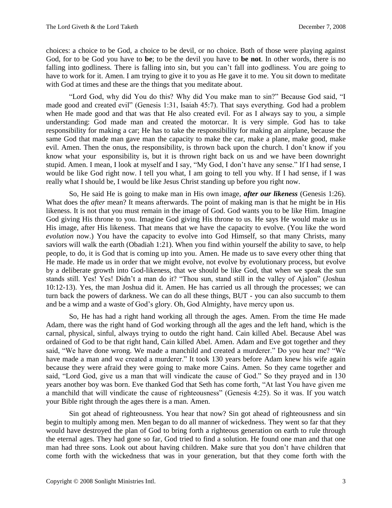choices: a choice to be God, a choice to be devil, or no choice. Both of those were playing against God, for to be God you have to **be**; to be the devil you have to **be not**. In other words, there is no falling into godliness. There is falling into sin, but you can't fall into godliness. You are going to have to work for it. Amen. I am trying to give it to you as He gave it to me. You sit down to meditate with God at times and these are the things that you meditate about.

"Lord God, why did You do this? Why did You make man to sin?" Because God said, "I made good and created evil" (Genesis 1:31, Isaiah 45:7). That says everything. God had a problem when He made good and that was that He also created evil. For as I always say to you, a simple understanding: God made man and created the motorcar. It is very simple. God has to take responsibility for making a car; He has to take the responsibility for making an airplane, because the same God that made man gave man the capacity to make the car, make a plane, make good, make evil. Amen. Then the onus, the responsibility, is thrown back upon the church. I don't know if you know what your esponsibility is, but it is thrown right back on us and we have been downright stupid. Amen. I mean, I look at myself and I say, "My God, I don't have any sense." If I had sense, I would be like God right now. I tell you what, I am going to tell you why. If I had sense, if I was really what I should be, I would be like Jesus Christ standing up before you right now.

So, He said He is going to make man in His own image, *after our likeness* (Genesis 1:26). What does the *after* mean? It means afterwards. The point of making man is that he might be in His likeness. It is not that you must remain in the image of God. God wants you to be like Him. Imagine God giving His throne to you. Imagine God giving His throne to us. He says He would make us in His image, after His likeness. That means that we have the capacity to evolve. (You like the word *evolution* now.) You have the capacity to evolve into God Himself, so that many Christs, many saviors will walk the earth (Obadiah 1:21). When you find within yourself the ability to save, to help people, to do, it is God that is coming up into you. Amen. He made us to save every other thing that He made. He made us in order that we might evolve, not evolve by evolutionary process, but evolve by a deliberate growth into God-likeness, that we should be like God, that when we speak the sun stands still. Yes! Yes! Didn't a man do it? "Thou sun, stand still in the valley of Ajalon" (Joshua 10:12-13). Yes, the man Joshua did it. Amen. He has carried us all through the processes; we can turn back the powers of darkness. We can do all these things, BUT - you can also succumb to them and be a wimp and a waste of God's glory. Oh, God Almighty, have mercy upon us.

So, He has had a right hand working all through the ages. Amen. From the time He made Adam, there was the right hand of God working through all the ages and the left hand, which is the carnal, physical, sinful, always trying to outdo the right hand. Cain killed Abel. Because Abel was ordained of God to be that right hand, Cain killed Abel. Amen. Adam and Eve got together and they said, "We have done wrong. We made a manchild and created a murderer." Do you hear me? "We have made a man and we created a murderer." It took 130 years before Adam knew his wife again because they were afraid they were going to make more Cains. Amen. So they came together and said, "Lord God, give us a man that will vindicate the cause of God." So they prayed and in 130 years another boy was born. Eve thanked God that Seth has come forth, "At last You have given me a manchild that will vindicate the cause of righteousness" (Genesis 4:25). So it was. If you watch your Bible right through the ages there is a man. Amen.

Sin got ahead of righteousness. You hear that now? Sin got ahead of righteousness and sin begin to multiply among men. Men began to do all manner of wickedness. They went so far that they would have destroyed the plan of God to bring forth a righteous generation on earth to rule through the eternal ages. They had gone so far, God tried to find a solution. He found one man and that one man had three sons. Look out about having children. Make sure that you don't have children that come forth with the wickedness that was in your generation, but that they come forth with the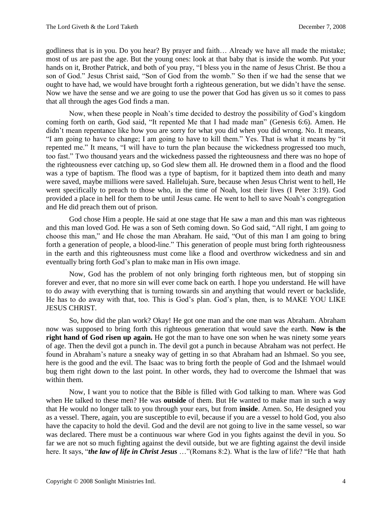godliness that is in you. Do you hear? By prayer and faith… Already we have all made the mistake; most of us are past the age. But the young ones: look at that baby that is inside the womb. Put your hands on it, Brother Patrick, and both of you pray, "I bless you in the name of Jesus Christ. Be thou a son of God." Jesus Christ said, "Son of God from the womb." So then if we had the sense that we ought to have had, we would have brought forth a righteous generation, but we didn't have the sense. Now we have the sense and we are going to use the power that God has given us so it comes to pass that all through the ages God finds a man.

Now, when these people in Noah's time decided to destroy the possibility of God's kingdom coming forth on earth, God said, "It repented Me that I had made man" (Genesis 6:6). Amen. He didn't mean repentance like how you are sorry for what you did when you did wrong. No. It means, "I am going to have to change; I am going to have to kill them." Yes. That is what it means by "it repented me." It means, "I will have to turn the plan because the wickedness progressed too much, too fast." Two thousand years and the wickedness passed the righteousness and there was no hope of the righteousness ever catching up, so God slew them all. He drowned them in a flood and the flood was a type of baptism. The flood was a type of baptism, for it baptized them into death and many were saved, maybe millions were saved. Hallelujah. Sure, because when Jesus Christ went to hell, He went specifically to preach to those who, in the time of Noah, lost their lives (I Peter 3:19). God provided a place in hell for them to be until Jesus came. He went to hell to save Noah's congregation and He did preach them out of prison.

God chose Him a people. He said at one stage that He saw a man and this man was righteous and this man loved God. He was a son of Seth coming down. So God said, "All right, I am going to choose this man," and He chose the man Abraham. He said, "Out of this man I am going to bring forth a generation of people, a blood-line." This generation of people must bring forth righteousness in the earth and this righteousness must come like a flood and overthrow wickedness and sin and eventually bring forth God's plan to make man in His own image.

Now, God has the problem of not only bringing forth righteous men, but of stopping sin forever and ever, that no more sin will ever come back on earth. I hope you understand. He will have to do away with everything that is turning towards sin and anything that would revert or backslide, He has to do away with that, too. This is God's plan. God's plan, then, is to MAKE YOU LIKE JESUS CHRIST.

So, how did the plan work? Okay! He got one man and the one man was Abraham. Abraham now was supposed to bring forth this righteous generation that would save the earth. **Now is the right hand of God risen up again.** He got the man to have one son when he was ninety some years of age. Then the devil got a punch in. The devil got a punch in because Abraham was not perfect. He found in Abraham's nature a sneaky way of getting in so that Abraham had an Ishmael. So you see, here is the good and the evil. The Isaac was to bring forth the people of God and the Ishmael would bug them right down to the last point. In other words, they had to overcome the Ishmael that was within them.

Now, I want you to notice that the Bible is filled with God talking to man. Where was God when He talked to these men? He was **outside** of them. But He wanted to make man in such a way that He would no longer talk to you through your ears, but from **inside**. Amen. So, He designed you as a vessel. There, again, you are susceptible to evil, because if you are a vessel to hold God, you also have the capacity to hold the devil. God and the devil are not going to live in the same vessel, so war was declared. There must be a continuous war where God in you fights against the devil in you. So far we are not so much fighting against the devil outside, but we are fighting against the devil inside here. It says, "*the law of life in Christ Jesus* …"(Romans 8:2). What is the law of life? "He that hath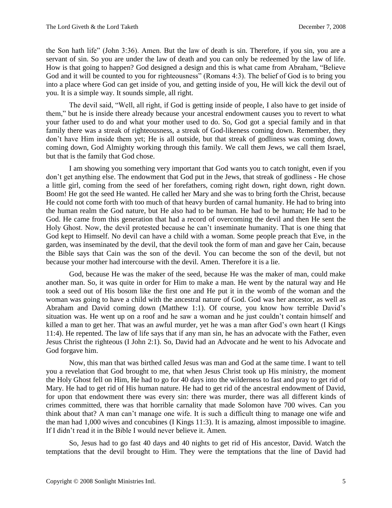the Son hath life" (John 3:36). Amen. But the law of death is sin. Therefore, if you sin, you are a servant of sin. So you are under the law of death and you can only be redeemed by the law of life. How is that going to happen? God designed a design and this is what came from Abraham, "Believe God and it will be counted to you for righteousness" (Romans 4:3). The belief of God is to bring you into a place where God can get inside of you, and getting inside of you, He will kick the devil out of you. It is a simple way. It sounds simple, all right.

The devil said, "Well, all right, if God is getting inside of people, I also have to get inside of them," but he is inside there already because your ancestral endowment causes you to revert to what your father used to do and what your mother used to do. So, God got a special family and in that family there was a streak of righteousness, a streak of God-likeness coming down. Remember, they don't have Him inside them yet; He is all outside, but that streak of godliness was coming down, coming down, God Almighty working through this family. We call them Jews, we call them Israel, but that is the family that God chose.

I am showing you something very important that God wants you to catch tonight, even if you don't get anything else. The endowment that God put in the Jews, that streak of godliness - He chose a little girl, coming from the seed of her forefathers, coming right down, right down, right down. Boom! He got the seed He wanted. He called her Mary and she was to bring forth the Christ, because He could not come forth with too much of that heavy burden of carnal humanity. He had to bring into the human realm the God nature, but He also had to be human. He had to be human; He had to be God. He came from this generation that had a record of overcoming the devil and then He sent the Holy Ghost. Now, the devil protested because he can't inseminate humanity. That is one thing that God kept to Himself. No devil can have a child with a woman. Some people preach that Eve, in the garden, was inseminated by the devil, that the devil took the form of man and gave her Cain, because the Bible says that Cain was the son of the devil. You can become the son of the devil, but not because your mother had intercourse with the devil. Amen. Therefore it is a lie.

God, because He was the maker of the seed, because He was the maker of man, could make another man. So, it was quite in order for Him to make a man. He went by the natural way and He took a seed out of His bosom like the first one and He put it in the womb of the woman and the woman was going to have a child with the ancestral nature of God. God was her ancestor, as well as Abraham and David coming down (Matthew 1:1). Of course, you know how terrible David's situation was. He went up on a roof and he saw a woman and he just couldn't contain himself and killed a man to get her. That was an awful murder, yet he was a man after God's own heart (I Kings 11:4). He repented. The law of life says that if any man sin, he has an advocate with the Father, even Jesus Christ the righteous (I John 2:1). So, David had an Advocate and he went to his Advocate and God forgave him.

Now, this man that was birthed called Jesus was man and God at the same time. I want to tell you a revelation that God brought to me, that when Jesus Christ took up His ministry, the moment the Holy Ghost fell on Him, He had to go for 40 days into the wilderness to fast and pray to get rid of Mary. He had to get rid of His human nature. He had to get rid of the ancestral endowment of David, for upon that endowment there was every sin: there was murder, there was all different kinds of crimes committed, there was that horrible carnality that made Solomon have 700 wives. Can you think about that? A man can't manage one wife. It is such a difficult thing to manage one wife and the man had 1,000 wives and concubines (I Kings 11:3). It is amazing, almost impossible to imagine. If I didn't read it in the Bible I would never believe it. Amen.

So, Jesus had to go fast 40 days and 40 nights to get rid of His ancestor, David. Watch the temptations that the devil brought to Him. They were the temptations that the line of David had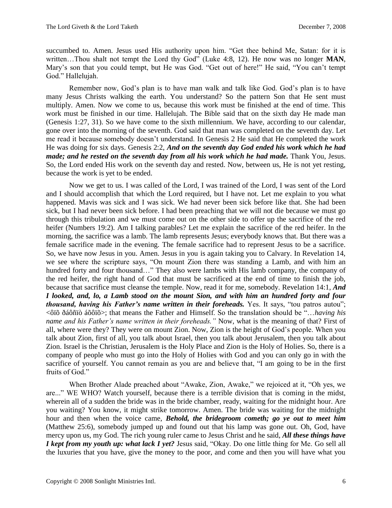succumbed to. Amen. Jesus used His authority upon him. "Get thee behind Me, Satan: for it is written…Thou shalt not tempt the Lord thy God" (Luke 4:8, 12). He now was no longer **MAN**, Mary's son that you could tempt, but He was God. "Get out of here!" He said, "You can't tempt God." Hallelujah.

Remember now, God's plan is to have man walk and talk like God. God's plan is to have many Jesus Christs walking the earth. You understand? So the pattern Son that He sent must multiply. Amen. Now we come to us, because this work must be finished at the end of time. This work must be finished in our time. Hallelujah. The Bible said that on the sixth day He made man (Genesis 1:27, 31). So we have come to the sixth millennium. We have, according to our calendar, gone over into the morning of the seventh. God said that man was completed on the seventh day. Let me read it because somebody doesn't understand. In Genesis 2 He said that He completed the work He was doing for six days. Genesis 2:2, *And on the seventh day God ended his work which he had made; and he rested on the seventh day from all his work which he had made.* Thank You, Jesus. So, the Lord ended His work on the seventh day and rested. Now, between us, He is not yet resting, because the work is yet to be ended.

Now we get to us. I was called of the Lord, I was trained of the Lord, I was sent of the Lord and I should accomplish that which the Lord required, but I have not. Let me explain to you what happened. Mavis was sick and I was sick. We had never been sick before like that. She had been sick, but I had never been sick before. I had been preaching that we will not die because we must go through this tribulation and we must come out on the other side to offer up the sacrifice of the red heifer (Numbers 19:2). Am I talking parables? Let me explain the sacrifice of the red heifer. In the morning, the sacrifice was a lamb. The lamb represents Jesus; everybody knows that. But there was a female sacrifice made in the evening. The female sacrifice had to represent Jesus to be a sacrifice. So, we have now Jesus in you. Amen. Jesus in you is again taking you to Calvary. In Revelation 14, we see where the scripture says, "On mount Zion there was standing a Lamb, and with him an hundred forty and four thousand…" They also were lambs with His lamb company, the company of the red heifer, the right hand of God that must be sacrificed at the end of time to finish the job, because that sacrifice must cleanse the temple. Now, read it for me, somebody. Revelation 14:1, *And I looked, and, lo, a Lamb stood on the mount Sion, and with him an hundred forty and four thousand, having his Father's name written in their foreheads.* Yes. It says, "tou patros autou"; <ôïõ ðáôñïò áõôïõ>; that means the Father and Himself. So the translation should be "…*having his name and his Father's name written in their foreheads."* Now, what is the meaning of that? First of all, where were they? They were on mount Zion. Now, Zion is the height of God's people. When you talk about Zion, first of all, you talk about Israel, then you talk about Jerusalem, then you talk about Zion. Israel is the Christian, Jerusalem is the Holy Place and Zion is the Holy of Holies. So, there is a company of people who must go into the Holy of Holies with God and you can only go in with the sacrifice of yourself. You cannot remain as you are and believe that, "I am going to be in the first fruits of God."

When Brother Alade preached about "Awake, Zion, Awake," we rejoiced at it, "Oh yes, we are..." WE WHO? Watch yourself, because there is a terrible division that is coming in the midst, wherein all of a sudden the bride was in the bride chamber, ready, waiting for the midnight hour. Are you waiting? You know, it might strike tomorrow. Amen. The bride was waiting for the midnight hour and then when the voice came, *Behold, the bridegroom cometh; go ye out to meet him*  (Matthew 25:6), somebody jumped up and found out that his lamp was gone out. Oh, God, have mercy upon us, my God. The rich young ruler came to Jesus Christ and he said, *All these things have I kept from my youth up: what lack I yet?* Jesus said, "Okay. Do one little thing for Me. Go sell all the luxuries that you have, give the money to the poor, and come and then you will have what you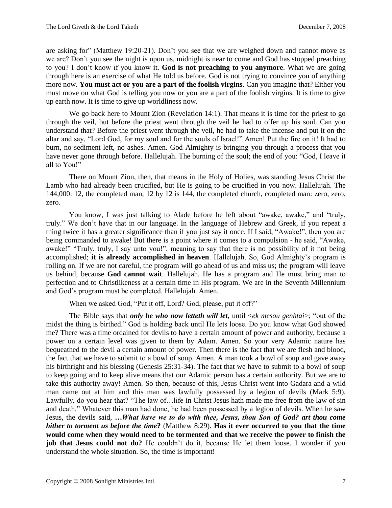are asking for" (Matthew 19:20-21). Don't you see that we are weighed down and cannot move as we are? Don't you see the night is upon us, midnight is near to come and God has stopped preaching to you? I don't know if you know it. **God is not preaching to you anymore**. What we are going through here is an exercise of what He told us before. God is not trying to convince you of anything more now. **You must act or you are a part of the foolish virgins**. Can you imagine that? Either you must move on what God is telling you now or you are a part of the foolish virgins. It is time to give up earth now. It is time to give up worldliness now.

We go back here to Mount Zion (Revelation 14:1). That means it is time for the priest to go through the veil, but before the priest went through the veil he had to offer up his soul. Can you understand that? Before the priest went through the veil, he had to take the incense and put it on the altar and say, "Lord God, for my soul and for the souls of Israel!" Amen! Put the fire on it! It had to burn, no sediment left, no ashes. Amen. God Almighty is bringing you through a process that you have never gone through before. Hallelujah. The burning of the soul; the end of you: "God, I leave it all to You!"

There on Mount Zion, then, that means in the Holy of Holies, was standing Jesus Christ the Lamb who had already been crucified, but He is going to be crucified in you now. Hallelujah. The 144,000: 12, the completed man, 12 by 12 is 144, the completed church, completed man: zero, zero, zero.

You know, I was just talking to Alade before he left about "awake, awake," and "truly, truly." We don't have that in our language. In the language of Hebrew and Greek, if you repeat a thing twice it has a greater significance than if you just say it once. If I said, "Awake!", then you are being commanded to awake! But there is a point where it comes to a compulsion - he said, "Awake, awake!" "Truly, truly, I say unto you!", meaning to say that there is no possibility of it not being accomplished; **it is already accomplished in heaven**. Hallelujah. So, God Almighty's program is rolling on. If we are not careful, the program will go ahead of us and miss us; the program will leave us behind, because **God cannot wait**. Hallelujah. He has a program and He must bring man to perfection and to Christlikeness at a certain time in His program. We are in the Seventh Millennium and God's program must be completed. Hallelujah. Amen.

When we asked God, "Put it off, Lord? God, please, put it off?"

The Bible says that *only he who now letteth will let*, until <*ek mesou genhtai*>; "out of the midst the thing is birthed." God is holding back until He lets loose. Do you know what God showed me? There was a time ordained for devils to have a certain amount of power and authority, because a power on a certain level was given to them by Adam. Amen. So your very Adamic nature has bequeathed to the devil a certain amount of power. Then there is the fact that we are flesh and blood, the fact that we have to submit to a bowl of soup. Amen. A man took a bowl of soup and gave away his birthright and his blessing (Genesis 25:31-34). The fact that we have to submit to a bowl of soup to keep going and to keep alive means that our Adamic person has a certain authority. But we are to take this authority away! Amen. So then, because of this, Jesus Christ went into Gadara and a wild man came out at him and this man was lawfully possessed by a legion of devils (Mark 5:9). Lawfully, do you hear that? "The law of…life in Christ Jesus hath made me free from the law of sin and death." Whatever this man had done, he had been possessed by a legion of devils. When he saw Jesus, the devils said, *…What have we to do with thee, Jesus, thou Son of God? art thou come hither to torment us before the time***?** (Matthew 8:29). **Has it ever occurred to you that the time would come when they would need to be tormented and that we receive the power to finish the job that Jesus could not do?** He couldn't do it, because He let them loose. I wonder if you understand the whole situation. So, the time is important!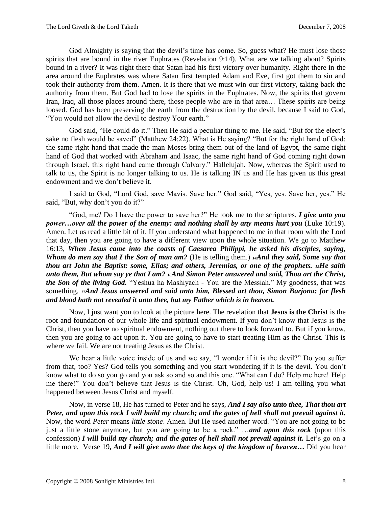God Almighty is saying that the devil's time has come. So, guess what? He must lose those spirits that are bound in the river Euphrates (Revelation 9:14). What are we talking about? Spirits bound in a river? It was right there that Satan had his first victory over humanity. Right there in the area around the Euphrates was where Satan first tempted Adam and Eve, first got them to sin and took their authority from them. Amen. It is there that we must win our first victory, taking back the authority from them. But God had to lose the spirits in the Euphrates. Now, the spirits that govern Iran, Iraq, all those places around there, those people who are in that area… These spirits are being loosed. God has been preserving the earth from the destruction by the devil, because I said to God, "You would not allow the devil to destroy Your earth."

God said, "He could do it." Then He said a peculiar thing to me. He said, "But for the elect's sake no flesh would be saved" (Matthew 24:22). What is He saying? "But for the right hand of God: the same right hand that made the man Moses bring them out of the land of Egypt, the same right hand of God that worked with Abraham and Isaac, the same right hand of God coming right down through Israel, this right hand came through Calvary." Hallelujah. Now, whereas the Spirit used to talk to us, the Spirit is no longer talking to us. He is talking IN us and He has given us this great endowment and we don't believe it.

I said to God, "Lord God, save Mavis. Save her." God said, "Yes, yes. Save her, yes." He said, "But, why don't you do it?"

"God, me? Do I have the power to save her?" He took me to the scriptures. *I give unto you power…over all the power of the enemy: and nothing shall by any means hurt you* (Luke 10:19). Amen. Let us read a little bit of it. If you understand what happened to me in that room with the Lord that day, then you are going to have a different view upon the whole situation. We go to Matthew 16:13, *When Jesus came into the coasts of Caesarea Philippi, he asked his disciples, saying, Whom do men say that I the Son of man am?* (He is telling them.) *14And they said, Some say that thou art John the Baptist: some, Elias; and others, Jeremias, or one of the prophets. 15He saith unto them, But whom say ye that I am? 16And Simon Peter answered and said, Thou art the Christ, the Son of the living God.* "Yeshua ha Mashiyach - You are the Messiah." My goodness, that was something. *17And Jesus answered and said unto him, Blessed art thou, Simon Barjona: for flesh and blood hath not revealed it unto thee, but my Father which is in heaven.*

Now, I just want you to look at the picture here. The revelation that **Jesus is the Christ** is the root and foundation of our whole life and spiritual endowment. If you don't know that Jesus is the Christ, then you have no spiritual endowment, nothing out there to look forward to. But if you know, then you are going to act upon it. You are going to have to start treating Him as the Christ. This is where we fail. We are not treating Jesus as the Christ.

We hear a little voice inside of us and we say, "I wonder if it is the devil?" Do you suffer from that, too? Yes? God tells you something and you start wondering if it is the devil. You don't know what to do so you go and you ask so and so and this one. "What can I do? Help me here! Help me there!" You don't believe that Jesus is the Christ. Oh, God, help us! I am telling you what happened between Jesus Christ and myself.

Now, in verse 18, He has turned to Peter and he says, *And I say also unto thee, That thou art Peter, and upon this rock I will build my church; and the gates of hell shall not prevail against it.*  Now, the word *Peter* means *little stone*. Amen. But He used another word. "You are not going to be just a little stone anymore, but you are going to be a rock." …*and upon this rock* (upon this confession) *I will build my church; and the gates of hell shall not prevail against it.* Let's go on a little more. Verse 19**,** *And I will give unto thee the keys of the kingdom of heaven…* Did you hear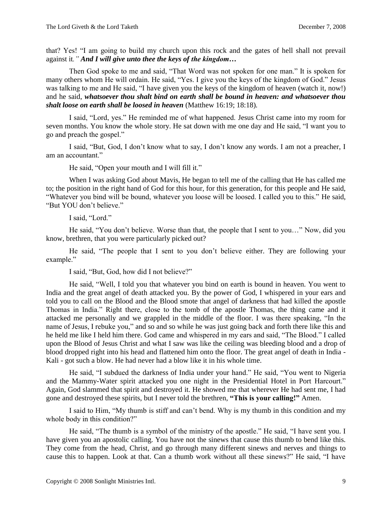that? Yes! "I am going to build my church upon this rock and the gates of hell shall not prevail against it*." And I will give unto thee the keys of the kingdom…*

Then God spoke to me and said, "That Word was not spoken for one man." It is spoken for many others whom He will ordain. He said, "Yes. I give you the keys of the kingdom of God." Jesus was talking to me and He said, "I have given you the keys of the kingdom of heaven (watch it, now!) and he said, *whatsoever thou shalt bind on earth shall be bound in heaven: and whatsoever thou shalt loose on earth shall be loosed in heaven* (Matthew 16:19; 18:18)*.*

I said, "Lord, yes." He reminded me of what happened. Jesus Christ came into my room for seven months. You know the whole story. He sat down with me one day and He said, "I want you to go and preach the gospel."

I said, "But, God, I don't know what to say, I don't know any words. I am not a preacher, I am an accountant."

He said, "Open your mouth and I will fill it."

When I was asking God about Mavis, He began to tell me of the calling that He has called me to; the position in the right hand of God for this hour, for this generation, for this people and He said, "Whatever you bind will be bound, whatever you loose will be loosed. I called you to this." He said, "But YOU don't believe."

I said, "Lord."

He said, "You don't believe. Worse than that, the people that I sent to you…" Now, did you know, brethren, that you were particularly picked out?

He said, "The people that I sent to you don't believe either. They are following your example."

I said, "But, God, how did I not believe?"

He said, "Well, I told you that whatever you bind on earth is bound in heaven. You went to India and the great angel of death attacked you. By the power of God, I whispered in your ears and told you to call on the Blood and the Blood smote that angel of darkness that had killed the apostle Thomas in India." Right there, close to the tomb of the apostle Thomas, the thing came and it attacked me personally and we grappled in the middle of the floor. I was there speaking, "In the name of Jesus, I rebuke you," and so and so while he was just going back and forth there like this and he held me like I held him there. God came and whispered in my ears and said, "The Blood." I called upon the Blood of Jesus Christ and what I saw was like the ceiling was bleeding blood and a drop of blood dropped right into his head and flattened him onto the floor. The great angel of death in India - Kali - got such a blow. He had never had a blow like it in his whole time.

He said, "I subdued the darkness of India under your hand." He said, "You went to Nigeria and the Mammy-Water spirit attacked you one night in the Presidential Hotel in Port Harcourt." Again, God slammed that spirit and destroyed it. He showed me that wherever He had sent me, I had gone and destroyed these spirits, but I never told the brethren, **"This is your calling!"** Amen.

I said to Him, "My thumb is stiff and can't bend. Why is my thumb in this condition and my whole body in this condition?"

He said, "The thumb is a symbol of the ministry of the apostle." He said, "I have sent you. I have given you an apostolic calling. You have not the sinews that cause this thumb to bend like this. They come from the head, Christ, and go through many different sinews and nerves and things to cause this to happen. Look at that. Can a thumb work without all these sinews?" He said, "I have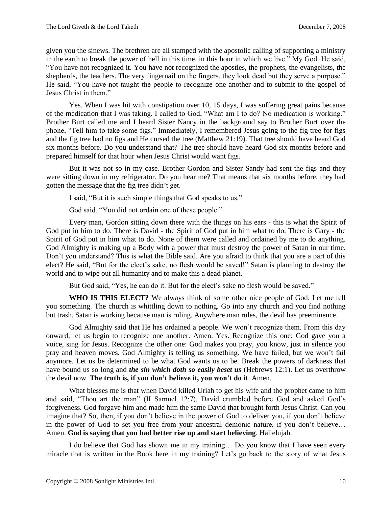given you the sinews. The brethren are all stamped with the apostolic calling of supporting a ministry in the earth to break the power of hell in this time, in this hour in which we live." My God. He said, "You have not recognized it. You have not recognized the apostles, the prophets, the evangelists, the shepherds, the teachers. The very fingernail on the fingers, they look dead but they serve a purpose." He said, "You have not taught the people to recognize one another and to submit to the gospel of Jesus Christ in them."

Yes. When I was hit with constipation over 10, 15 days, I was suffering great pains because of the medication that I was taking. I called to God, "What am I to do? No medication is working." Brother Burt called me and I heard Sister Nancy in the background say to Brother Burt over the phone, "Tell him to take some figs." Immediately, I remembered Jesus going to the fig tree for figs and the fig tree had no figs and He cursed the tree (Matthew 21:19). That tree should have heard God six months before. Do you understand that? The tree should have heard God six months before and prepared himself for that hour when Jesus Christ would want figs.

But it was not so in my case. Brother Gordon and Sister Sandy had sent the figs and they were sitting down in my refrigerator. Do you hear me? That means that six months before, they had gotten the message that the fig tree didn't get.

I said, "But it is such simple things that God speaks to us."

God said, "You did not ordain one of these people."

Every man, Gordon sitting down there with the things on his ears - this is what the Spirit of God put in him to do. There is David - the Spirit of God put in him what to do. There is Gary - the Spirit of God put in him what to do. None of them were called and ordained by me to do anything. God Almighty is making up a Body with a power that must destroy the power of Satan in our time. Don't you understand? This is what the Bible said. Are you afraid to think that you are a part of this elect? He said, "But for the elect's sake, no flesh would be saved!" Satan is planning to destroy the world and to wipe out all humanity and to make this a dead planet.

But God said, "Yes, he can do it. But for the elect's sake no flesh would be saved."

**WHO IS THIS ELECT?** We always think of some other nice people of God. Let me tell you something. The church is whittling down to nothing. Go into any church and you find nothing but trash. Satan is working because man is ruling. Anywhere man rules, the devil has preeminence.

God Almighty said that He has ordained a people. We won't recognize them. From this day onward, let us begin to recognize one another. Amen. Yes. Recognize this one: God gave you a voice, sing for Jesus. Recognize the other one: God makes you pray, you know, just in silence you pray and heaven moves. God Almighty is telling us something. We have failed, but we won't fail anymore. Let us be determined to be what God wants us to be. Break the powers of darkness that have bound us so long and *the sin which doth so easily beset us* (Hebrews 12:1). Let us overthrow the devil now. **The truth is, if you don't believe it, you won't do it**. Amen.

What blesses me is that when David killed Uriah to get his wife and the prophet came to him and said, "Thou art the man" (II Samuel 12:7), David crumbled before God and asked God's forgiveness. God forgave him and made him the same David that brought forth Jesus Christ. Can you imagine that? So, then, if you don't believe in the power of God to deliver you, if you don't believe in the power of God to set you free from your ancestral demonic nature, if you don't believe… Amen. **God is saying that you had better rise up and start believing**. Hallelujah.

I do believe that God has shown me in my training… Do you know that I have seen every miracle that is written in the Book here in my training? Let's go back to the story of what Jesus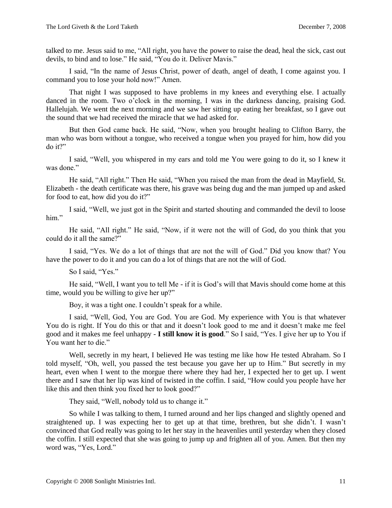talked to me. Jesus said to me, "All right, you have the power to raise the dead, heal the sick, cast out devils, to bind and to lose." He said, "You do it. Deliver Mavis."

I said, "In the name of Jesus Christ, power of death, angel of death, I come against you. I command you to lose your hold now!" Amen.

That night I was supposed to have problems in my knees and everything else. I actually danced in the room. Two o'clock in the morning, I was in the darkness dancing, praising God. Hallelujah. We went the next morning and we saw her sitting up eating her breakfast, so I gave out the sound that we had received the miracle that we had asked for.

But then God came back. He said, "Now, when you brought healing to Clifton Barry, the man who was born without a tongue, who received a tongue when you prayed for him, how did you do it?"

I said, "Well, you whispered in my ears and told me You were going to do it, so I knew it was done."

He said, "All right." Then He said, "When you raised the man from the dead in Mayfield, St. Elizabeth - the death certificate was there, his grave was being dug and the man jumped up and asked for food to eat, how did you do it?"

I said, "Well, we just got in the Spirit and started shouting and commanded the devil to loose him."

He said, "All right." He said, "Now, if it were not the will of God, do you think that you could do it all the same?"

I said, "Yes. We do a lot of things that are not the will of God." Did you know that? You have the power to do it and you can do a lot of things that are not the will of God.

So I said, "Yes."

He said, "Well, I want you to tell Me - if it is God's will that Mavis should come home at this time, would you be willing to give her up?"

Boy, it was a tight one. I couldn't speak for a while.

I said, "Well, God, You are God. You are God. My experience with You is that whatever You do is right. If You do this or that and it doesn't look good to me and it doesn't make me feel good and it makes me feel unhappy - **I still know it is good**." So I said, "Yes. I give her up to You if You want her to die."

Well, secretly in my heart, I believed He was testing me like how He tested Abraham. So I told myself, "Oh, well, you passed the test because you gave her up to Him." But secretly in my heart, even when I went to the morgue there where they had her, I expected her to get up. I went there and I saw that her lip was kind of twisted in the coffin. I said, "How could you people have her like this and then think you fixed her to look good?"

They said, "Well, nobody told us to change it."

So while I was talking to them, I turned around and her lips changed and slightly opened and straightened up. I was expecting her to get up at that time, brethren, but she didn't. I wasn't convinced that God really was going to let her stay in the heavenlies until yesterday when they closed the coffin. I still expected that she was going to jump up and frighten all of you. Amen. But then my word was, "Yes, Lord."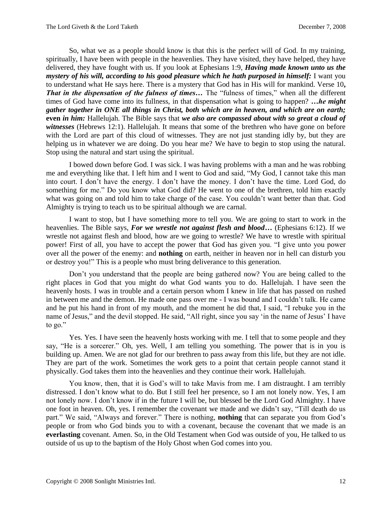So, what we as a people should know is that this is the perfect will of God. In my training, spiritually, I have been with people in the heavenlies. They have visited, they have helped, they have delivered, they have fought with us. If you look at Ephesians 1:9, *Having made known unto us the mystery of his will, according to his good pleasure which he hath purposed in himself:* I want you to understand what He says here. There is a mystery that God has in His will for mankind. Verse 10**,**  *That in the dispensation of the fulness of times...* The "fulness of times," when all the different times of God have come into its fullness, in that dispensation what is going to happen? *…he might gather together in ONE all things in Christ, both which are in heaven, and which are on earth;*  **even** *in him:* Hallelujah. The Bible says that *we also are compassed about with so great a cloud of*  witnesses (Hebrews 12:1). Hallelujah. It means that some of the brethren who have gone on before with the Lord are part of this cloud of witnesses. They are not just standing idly by, but they are helping us in whatever we are doing. Do you hear me? We have to begin to stop using the natural. Stop using the natural and start using the spiritual.

I bowed down before God. I was sick. I was having problems with a man and he was robbing me and everything like that. I left him and I went to God and said, "My God, I cannot take this man into court. I don't have the energy. I don't have the money. I don't have the time. Lord God, do something for me." Do you know what God did? He went to one of the brethren, told him exactly what was going on and told him to take charge of the case. You couldn't want better than that. God Almighty is trying to teach us to be spiritual although we are carnal.

I want to stop, but I have something more to tell you. We are going to start to work in the heavenlies. The Bible says, *For we wrestle not against flesh and blood***…** (Ephesians 6:12). If we wrestle not against flesh and blood, how are we going to wrestle? We have to wrestle with spiritual power! First of all, you have to accept the power that God has given you. "I give unto you power over all the power of the enemy: and **nothing** on earth, neither in heaven nor in hell can disturb you or destroy you!" This is a people who must bring deliverance to this generation.

Don't you understand that the people are being gathered now? You are being called to the right places in God that you might do what God wants you to do. Hallelujah. I have seen the heavenly hosts. I was in trouble and a certain person whom I knew in life that has passed on rushed in between me and the demon. He made one pass over me - I was bound and I couldn't talk. He came and he put his hand in front of my mouth, and the moment he did that, I said, "I rebuke you in the name of Jesus," and the devil stopped. He said, "All right, since you say 'in the name of Jesus' I have to go."

Yes. Yes. I have seen the heavenly hosts working with me. I tell that to some people and they say, "He is a sorcerer." Oh, yes. Well, I am telling you something. The power that is in you is building up. Amen. We are not glad for our brethren to pass away from this life, but they are not idle. They are part of the work. Sometimes the work gets to a point that certain people cannot stand it physically. God takes them into the heavenlies and they continue their work. Hallelujah.

You know, then, that it is God's will to take Mavis from me. I am distraught. I am terribly distressed. I don't know what to do. But I still feel her presence, so I am not lonely now. Yes, I am not lonely now. I don't know if in the future I will be, but blessed be the Lord God Almighty. I have one foot in heaven. Oh, yes. I remember the covenant we made and we didn't say, "Till death do us part." We said, "Always and forever." There is nothing, **nothing** that can separate you from God's people or from who God binds you to with a covenant, because the covenant that we made is an **everlasting** covenant. Amen. So, in the Old Testament when God was outside of you, He talked to us outside of us up to the baptism of the Holy Ghost when God comes into you.